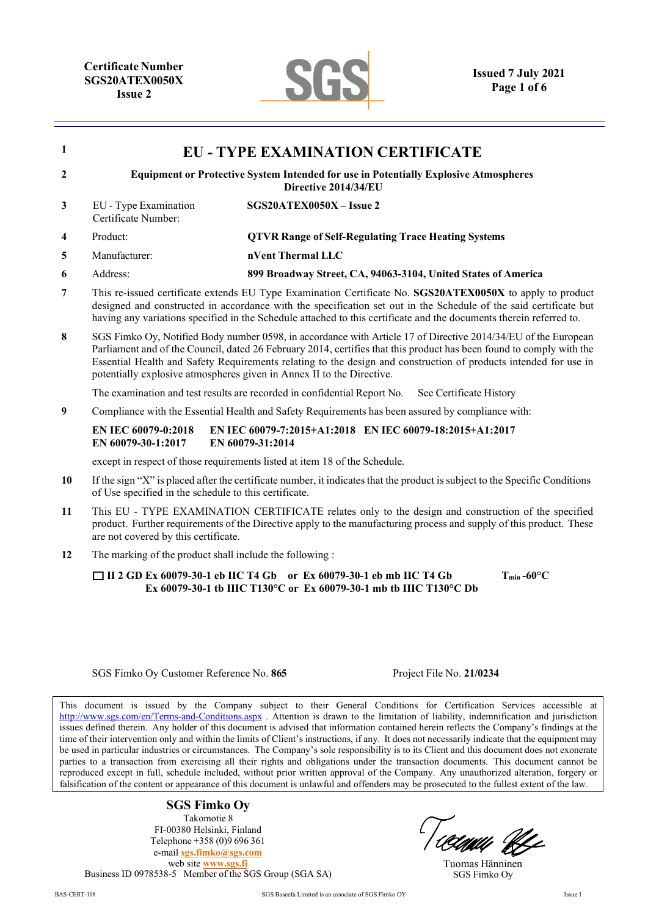

| $\mathbf{1}$                                                                                           | <b>EU - TYPE EXAMINATION CERTIFICATE</b>                                                                                                                                                                                                                                                                                                                                                                                            |                                                                                                                                                                |  |  |  |
|--------------------------------------------------------------------------------------------------------|-------------------------------------------------------------------------------------------------------------------------------------------------------------------------------------------------------------------------------------------------------------------------------------------------------------------------------------------------------------------------------------------------------------------------------------|----------------------------------------------------------------------------------------------------------------------------------------------------------------|--|--|--|
| $\mathbf{2}$                                                                                           | <b>Equipment or Protective System Intended for use in Potentially Explosive Atmospheres</b><br>Directive 2014/34/EU                                                                                                                                                                                                                                                                                                                 |                                                                                                                                                                |  |  |  |
| 3                                                                                                      | EU - Type Examination<br>Certificate Number:                                                                                                                                                                                                                                                                                                                                                                                        | SGS20ATEX0050X - Issue 2                                                                                                                                       |  |  |  |
| 4                                                                                                      | Product:                                                                                                                                                                                                                                                                                                                                                                                                                            | <b>QTVR Range of Self-Regulating Trace Heating Systems</b>                                                                                                     |  |  |  |
| 5                                                                                                      | Manufacturer:                                                                                                                                                                                                                                                                                                                                                                                                                       | nVent Thermal LLC                                                                                                                                              |  |  |  |
| 6                                                                                                      | Address:                                                                                                                                                                                                                                                                                                                                                                                                                            | 899 Broadway Street, CA, 94063-3104, United States of America                                                                                                  |  |  |  |
| 7                                                                                                      | This re-issued certificate extends EU Type Examination Certificate No. SGS20ATEX0050X to apply to product<br>designed and constructed in accordance with the specification set out in the Schedule of the said certificate but<br>having any variations specified in the Schedule attached to this certificate and the documents therein referred to.                                                                               |                                                                                                                                                                |  |  |  |
| 8                                                                                                      | SGS Fimko Oy, Notified Body number 0598, in accordance with Article 17 of Directive 2014/34/EU of the European<br>Parliament and of the Council, dated 26 February 2014, certifies that this product has been found to comply with the<br>Essential Health and Safety Requirements relating to the design and construction of products intended for use in<br>potentially explosive atmospheres given in Annex II to the Directive. |                                                                                                                                                                |  |  |  |
|                                                                                                        |                                                                                                                                                                                                                                                                                                                                                                                                                                     | The examination and test results are recorded in confidential Report No.<br>See Certificate History                                                            |  |  |  |
| Compliance with the Essential Health and Safety Requirements has been assured by compliance with:<br>9 |                                                                                                                                                                                                                                                                                                                                                                                                                                     |                                                                                                                                                                |  |  |  |
|                                                                                                        | <b>EN IEC 60079-0:2018</b><br>EN 60079-30-1:2017                                                                                                                                                                                                                                                                                                                                                                                    | EN IEC 60079-7:2015+A1:2018 EN IEC 60079-18:2015+A1:2017<br>EN 60079-31:2014                                                                                   |  |  |  |
|                                                                                                        |                                                                                                                                                                                                                                                                                                                                                                                                                                     | except in respect of those requirements listed at item 18 of the Schedule.                                                                                     |  |  |  |
| 10                                                                                                     | If the sign "X" is placed after the certificate number, it indicates that the product is subject to the Specific Conditions<br>of Use specified in the schedule to this certificate.                                                                                                                                                                                                                                                |                                                                                                                                                                |  |  |  |
| 11                                                                                                     | This EU - TYPE EXAMINATION CERTIFICATE relates only to the design and construction of the specified<br>product. Further requirements of the Directive apply to the manufacturing process and supply of this product. These<br>are not covered by this certificate.                                                                                                                                                                  |                                                                                                                                                                |  |  |  |
| 12                                                                                                     | The marking of the product shall include the following :                                                                                                                                                                                                                                                                                                                                                                            |                                                                                                                                                                |  |  |  |
|                                                                                                        |                                                                                                                                                                                                                                                                                                                                                                                                                                     | □ II 2 GD Ex 60079-30-1 eb IIC T4 Gb or Ex 60079-30-1 eb mb IIC T4 Gb<br>$T_{min}$ -60°C<br>Ex 60079-30-1 tb IIIC T130°C or Ex 60079-30-1 mb tb IIIC T130°C Db |  |  |  |
|                                                                                                        |                                                                                                                                                                                                                                                                                                                                                                                                                                     |                                                                                                                                                                |  |  |  |

#### SGS Fimko Oy Customer Reference No. **865** Project File No. **21/0234**

This document is issued by the Company subject to their General Conditions for Certification Services accessible at <http://www.sgs.com/en/Terms-and-Conditions.aspx> . Attention is drawn to the limitation of liability, indemnification and jurisdiction issues defined therein. Any holder of this document is advised that information contained herein reflects the Company's findings at the time of their intervention only and within the limits of Client's instructions, if any. It does not necessarily indicate that the equipment may be used in particular industries or circumstances. The Company's sole responsibility is to its Client and this document does not exonerate parties to a transaction from exercising all their rights and obligations under the transaction documents. This document cannot be reproduced except in full, schedule included, without prior written approval of the Company. Any unauthorized alteration, forgery or falsification of the content or appearance of this document is unlawful and offenders may be prosecuted to the fullest extent of the law.

> **SGS Fimko Oy** Takomotie 8 FI-00380 Helsinki, Finland Telephone +358 (0)9 696 361 e-mail **[sgs.fimko@sgs.com](mailto:sgs.fimko@sgs.com)** web site **[www.sgs.fi](http://www.sgs.fi/)**

Business ID 0978538-5 Member of the SGS Group (SGA SA)

'llaau UL

Tuomas Hänninen SGS Fimko Oy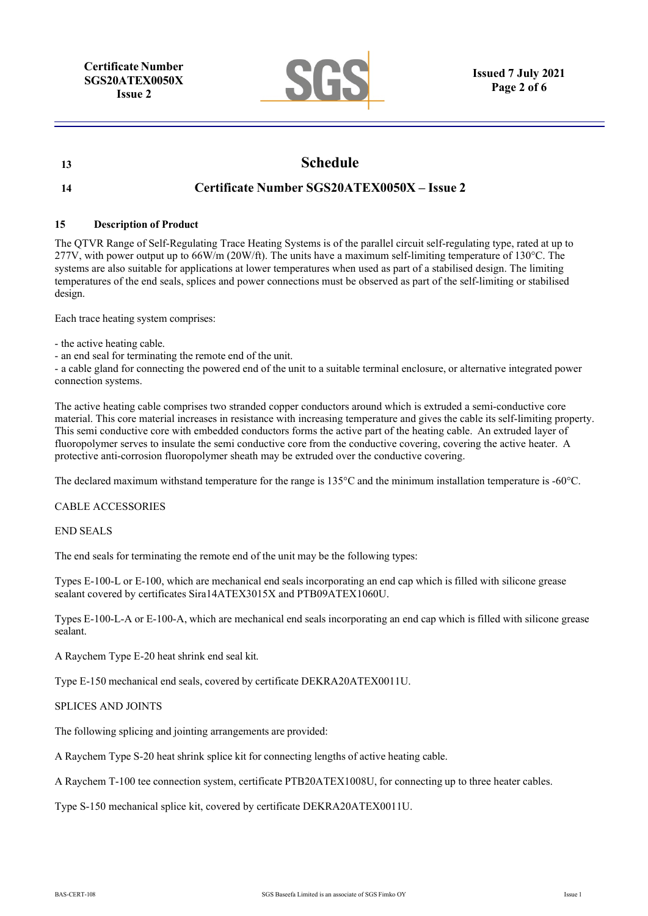

# **13 Schedule**

# **14 Certificate Number SGS20ATEX0050X – Issue 2**

### **15 Description of Product**

The QTVR Range of Self-Regulating Trace Heating Systems is of the parallel circuit self-regulating type, rated at up to 277V, with power output up to 66W/m (20W/ft). The units have a maximum self-limiting temperature of 130°C. The systems are also suitable for applications at lower temperatures when used as part of a stabilised design. The limiting temperatures of the end seals, splices and power connections must be observed as part of the self-limiting or stabilised design.

Each trace heating system comprises:

- the active heating cable.

- an end seal for terminating the remote end of the unit.

- a cable gland for connecting the powered end of the unit to a suitable terminal enclosure, or alternative integrated power connection systems.

The active heating cable comprises two stranded copper conductors around which is extruded a semi-conductive core material. This core material increases in resistance with increasing temperature and gives the cable its self-limiting property. This semi conductive core with embedded conductors forms the active part of the heating cable. An extruded layer of fluoropolymer serves to insulate the semi conductive core from the conductive covering, covering the active heater. A protective anti-corrosion fluoropolymer sheath may be extruded over the conductive covering.

The declared maximum withstand temperature for the range is 135°C and the minimum installation temperature is -60°C.

#### CABLE ACCESSORIES

END SEALS

The end seals for terminating the remote end of the unit may be the following types:

Types E-100-L or E-100, which are mechanical end seals incorporating an end cap which is filled with silicone grease sealant covered by certificates Sira14ATEX3015X and PTB09ATEX1060U.

Types E-100-L-A or E-100-A, which are mechanical end seals incorporating an end cap which is filled with silicone grease sealant.

A Raychem Type E-20 heat shrink end seal kit.

Type E-150 mechanical end seals, covered by certificate DEKRA20ATEX0011U.

#### SPLICES AND JOINTS

The following splicing and jointing arrangements are provided:

A Raychem Type S-20 heat shrink splice kit for connecting lengths of active heating cable.

A Raychem T-100 tee connection system, certificate PTB20ATEX1008U, for connecting up to three heater cables.

Type S-150 mechanical splice kit, covered by certificate DEKRA20ATEX0011U.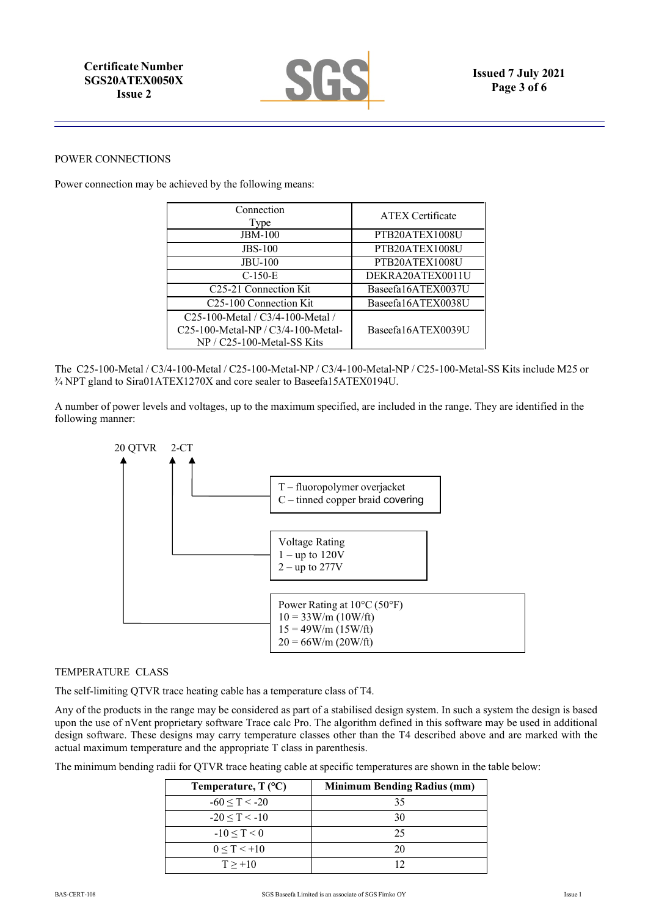

#### POWER CONNECTIONS

Power connection may be achieved by the following means:

| Connection<br>Type                       | <b>ATEX Certificate</b> |
|------------------------------------------|-------------------------|
| <b>JBM-100</b>                           | PTB20ATEX1008U          |
| <b>JBS-100</b>                           | PTB20ATEX1008U          |
| <b>JBU-100</b>                           | PTB20ATEX1008U          |
| $C-150-E$                                | DEKRA20ATEX0011U        |
| C25-21 Connection Kit                    | Baseefa16ATEX0037U      |
| C25-100 Connection Kit                   | Baseefa16ATEX0038U      |
| C25-100-Metal / C3/4-100-Metal /         |                         |
| $C25-100$ -Metal-NP / $C3/4-100$ -Metal- | Baseefa16ATEX0039U      |
| NP / C25-100-Metal-SS Kits               |                         |

The C25-100-Metal / C3/4-100-Metal / C25-100-Metal-NP / C3/4-100-Metal-NP / C25-100-Metal-SS Kits include M25 or ¾ NPT gland to Sira01ATEX1270X and core sealer to Baseefa15ATEX0194U.

A number of power levels and voltages, up to the maximum specified, are included in the range. They are identified in the following manner:



### TEMPERATURE CLASS

The self-limiting QTVR trace heating cable has a temperature class of T4.

Any of the products in the range may be considered as part of a stabilised design system. In such a system the design is based upon the use of nVent proprietary software Trace calc Pro. The algorithm defined in this software may be used in additional design software. These designs may carry temperature classes other than the T4 described above and are marked with the actual maximum temperature and the appropriate T class in parenthesis.

The minimum bending radii for QTVR trace heating cable at specific temperatures are shown in the table below:

| Temperature, $T$ (°C) | <b>Minimum Bending Radius (mm)</b> |
|-----------------------|------------------------------------|
| $-60 \le T \le -20$   | 35                                 |
| $-20 < T < -10$       | 30                                 |
| $-10 < T < 0$         | 25                                 |
| $0 \le T < +10$       | 20                                 |
| $T > +10$             |                                    |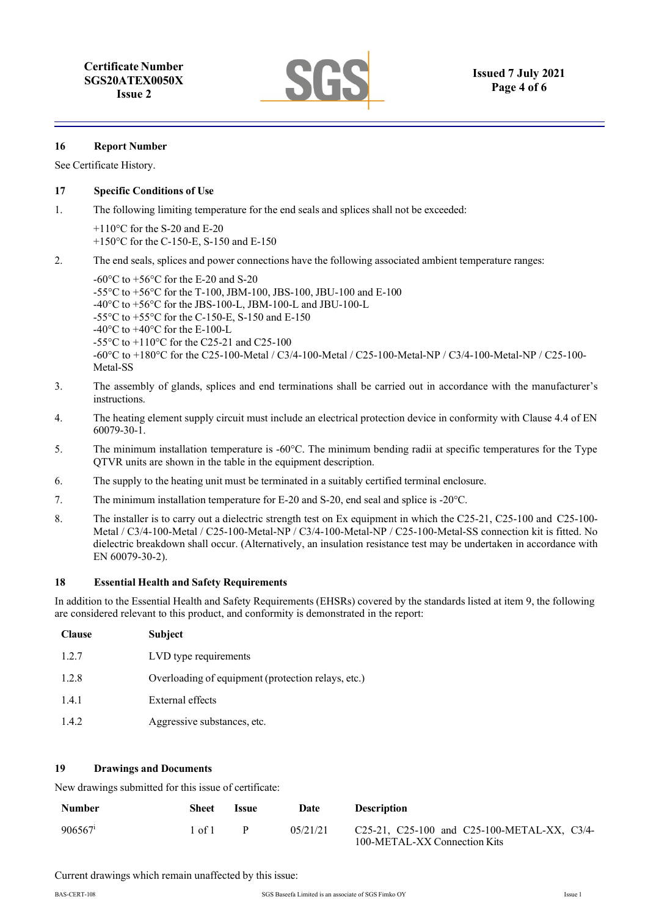#### **16 Report Number**

See Certificate History.

#### **17 Specific Conditions of Use**

- 1. The following limiting temperature for the end seals and splices shall not be exceeded:
	- +110°C for the S-20 and E-20 +150°C for the C-150-E, S-150 and E-150
- 2. The end seals, splices and power connections have the following associated ambient temperature ranges:

-60 $^{\circ}$ C to +56 $^{\circ}$ C for the E-20 and S-20 -55°C to +56°C for the T-100, JBM-100, JBS-100, JBU-100 and E-100 -40°C to +56°C for the JBS-100-L, JBM-100-L and JBU-100-L -55 $^{\circ}$ C to +55 $^{\circ}$ C for the C-150-E, S-150 and E-150  $-40^{\circ}$ C to  $+40^{\circ}$ C for the E-100-L -55°C to +110°C for the C25-21 and C25-100 -60°C to +180°C for the C25-100-Metal / C3/4-100-Metal / C25-100-Metal-NP / C3/4-100-Metal-NP / C25-100- Metal-SS

- 3. The assembly of glands, splices and end terminations shall be carried out in accordance with the manufacturer's instructions.
- 4. The heating element supply circuit must include an electrical protection device in conformity with Clause 4.4 of EN 60079-30-1.
- 5. The minimum installation temperature is -60°C. The minimum bending radii at specific temperatures for the Type QTVR units are shown in the table in the equipment description.
- 6. The supply to the heating unit must be terminated in a suitably certified terminal enclosure.
- 7. The minimum installation temperature for E-20 and S-20, end seal and splice is -20°C.
- 8. The installer is to carry out a dielectric strength test on Ex equipment in which the C25-21, C25-100 and C25-100- Metal / C3/4-100-Metal / C25-100-Metal-NP / C3/4-100-Metal-NP / C25-100-Metal-SS connection kit is fitted. No dielectric breakdown shall occur. (Alternatively, an insulation resistance test may be undertaken in accordance with EN 60079-30-2).

#### **18 Essential Health and Safety Requirements**

In addition to the Essential Health and Safety Requirements (EHSRs) covered by the standards listed at item 9, the following are considered relevant to this product, and conformity is demonstrated in the report:

| <b>Clause</b> | <b>Subject</b>                                     |
|---------------|----------------------------------------------------|
| 1.2.7         | LVD type requirements                              |
| 1.2.8         | Overloading of equipment (protection relays, etc.) |
| 1.4.1         | External effects                                   |
| 1.4.2         | Aggressive substances, etc.                        |

### **19 Drawings and Documents**

New drawings submitted for this issue of certificate:

| <b>Number</b>       | Sheet | <b>Issue</b> | Date     | <b>Description</b>                                                          |
|---------------------|-------|--------------|----------|-----------------------------------------------------------------------------|
| 906567 <sup>i</sup> | of 1  |              | 05/21/21 | C25-21, C25-100 and C25-100-METAL-XX, C3/4-<br>100-METAL-XX Connection Kits |

Current drawings which remain unaffected by this issue: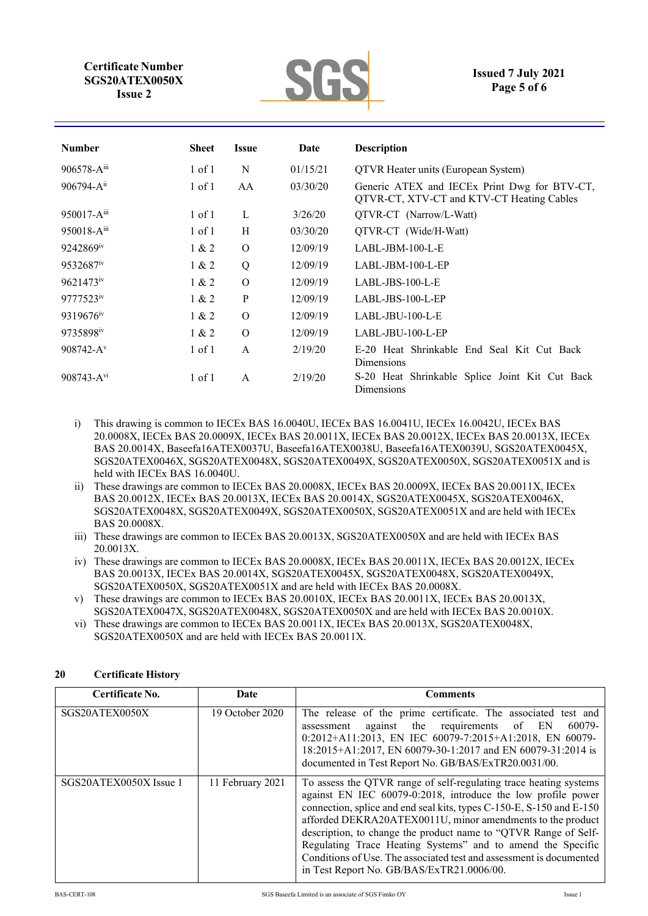

# **Issued 7 July 2021 Page 5 of 6**

| <b>Number</b>         | <b>Sheet</b> | <b>Issue</b> | Date     | <b>Description</b>                                                                        |
|-----------------------|--------------|--------------|----------|-------------------------------------------------------------------------------------------|
| $906578 - A^{iii}$    | $1$ of $1$   | N            | 01/15/21 | QTVR Heater units (European System)                                                       |
| $906794 - A^{ii}$     | $1$ of $1$   | AA           | 03/30/20 | Generic ATEX and IECEx Print Dwg for BTV-CT,<br>QTVR-CT, XTV-CT and KTV-CT Heating Cables |
| $950017 - A^{iii}$    | $1$ of $1$   | L            | 3/26/20  | QTVR-CT (Narrow/L-Watt)                                                                   |
| $950018 - A^{iii}$    | $1$ of $1$   | H            | 03/30/20 | QTVR-CT (Wide/H-Watt)                                                                     |
| 9242869 <sup>iv</sup> | 1 & 2        | $\Omega$     | 12/09/19 | $LABL$ -JBM-100-L-E                                                                       |
| 9532687 <sup>iv</sup> | 1 & 2        | Q            | 12/09/19 | $LABL-JBM-100-L-EP$                                                                       |
| $9621473^{\rm iv}$    | 1 & 2        | $\Omega$     | 12/09/19 | $LABL-JBS-100-L-E$                                                                        |
| 9777523iv             | 1 & 2        | P            | 12/09/19 | $LABL-JBS-100-L-EP$                                                                       |
| 9319676 <sup>iv</sup> | 1 & 2        | $\Omega$     | 12/09/19 | $LABL$ -JBU-100-L-E                                                                       |
| 9735898iv             | 1 & 2        | $\Omega$     | 12/09/19 | LABL-JBU-100-L-EP                                                                         |
| $908742 - Av$         | $1$ of $1$   | $\mathsf{A}$ | 2/19/20  | E-20 Heat Shrinkable End Seal Kit Cut Back<br>Dimensions                                  |
| $908743 - A^{v1}$     | $1$ of $1$   | $\mathsf{A}$ | 2/19/20  | S-20 Heat Shrinkable Splice Joint Kit Cut Back<br>Dimensions                              |

- i) This drawing is common to IECEx BAS 16.0040U, IECEx BAS 16.0041U, IECEx 16.0042U, IECEx BAS 20.0008X, IECEx BAS 20.0009X, IECEx BAS 20.0011X, IECEx BAS 20.0012X, IECEx BAS 20.0013X, IECEx BAS 20.0014X, Baseefa16ATEX0037U, Baseefa16ATEX0038U, Baseefa16ATEX0039U, SGS20ATEX0045X, SGS20ATEX0046X, SGS20ATEX0048X, SGS20ATEX0049X, SGS20ATEX0050X, SGS20ATEX0051X and is held with IECEx BAS 16.0040U.
- ii) These drawings are common to IECEx BAS 20.0008X, IECEx BAS 20.0009X, IECEx BAS 20.0011X, IECEx BAS 20.0012X, IECEx BAS 20.0013X, IECEx BAS 20.0014X, SGS20ATEX0045X, SGS20ATEX0046X, SGS20ATEX0048X, SGS20ATEX0049X, SGS20ATEX0050X, SGS20ATEX0051X and are held with IECEx BAS 20.0008X.
- iii) These drawings are common to IECEx BAS 20.0013X, SGS20ATEX0050X and are held with IECEx BAS 20.0013X.
- iv) These drawings are common to IECEx BAS 20.0008X, IECEx BAS 20.0011X, IECEx BAS 20.0012X, IECEx BAS 20.0013X, IECEx BAS 20.0014X, SGS20ATEX0045X, SGS20ATEX0048X, SGS20ATEX0049X, SGS20ATEX0050X, SGS20ATEX0051X and are held with IECEx BAS 20.0008X.
- v) These drawings are common to IECEx BAS 20.0010X, IECEx BAS 20.0011X, IECEx BAS 20.0013X, SGS20ATEX0047X, SGS20ATEX0048X, SGS20ATEX0050X and are held with IECEx BAS 20.0010X.
- vi) These drawings are common to IECEx BAS 20.0011X, IECEx BAS 20.0013X, SGS20ATEX0048X, SGS20ATEX0050X and are held with IECEx BAS 20.0011X.

| Certificate No.        | Date             | <b>Comments</b>                                                                                                                                                                                                                                                                                                                                                                                                                                                                                                               |
|------------------------|------------------|-------------------------------------------------------------------------------------------------------------------------------------------------------------------------------------------------------------------------------------------------------------------------------------------------------------------------------------------------------------------------------------------------------------------------------------------------------------------------------------------------------------------------------|
| SGS20ATEX0050X         | 19 October 2020  | The release of the prime certificate. The associated test and<br>against the requirements of EN<br>60079-<br>assessment<br>0:2012+A11:2013, EN IEC 60079-7:2015+A1:2018, EN 60079-<br>18:2015+A1:2017, EN 60079-30-1:2017 and EN 60079-31:2014 is<br>documented in Test Report No. GB/BAS/ExTR20.0031/00.                                                                                                                                                                                                                     |
| SGS20ATEX0050X Issue 1 | 11 February 2021 | To assess the QTVR range of self-regulating trace heating systems<br>against EN IEC 60079-0:2018, introduce the low profile power<br>connection, splice and end seal kits, types C-150-E, S-150 and E-150<br>afforded DEKRA20ATEX0011U, minor amendments to the product<br>description, to change the product name to "QTVR Range of Self-<br>Regulating Trace Heating Systems" and to amend the Specific<br>Conditions of Use. The associated test and assessment is documented<br>in Test Report No. GB/BAS/ExTR21.0006/00. |

# **20 Certificate History**